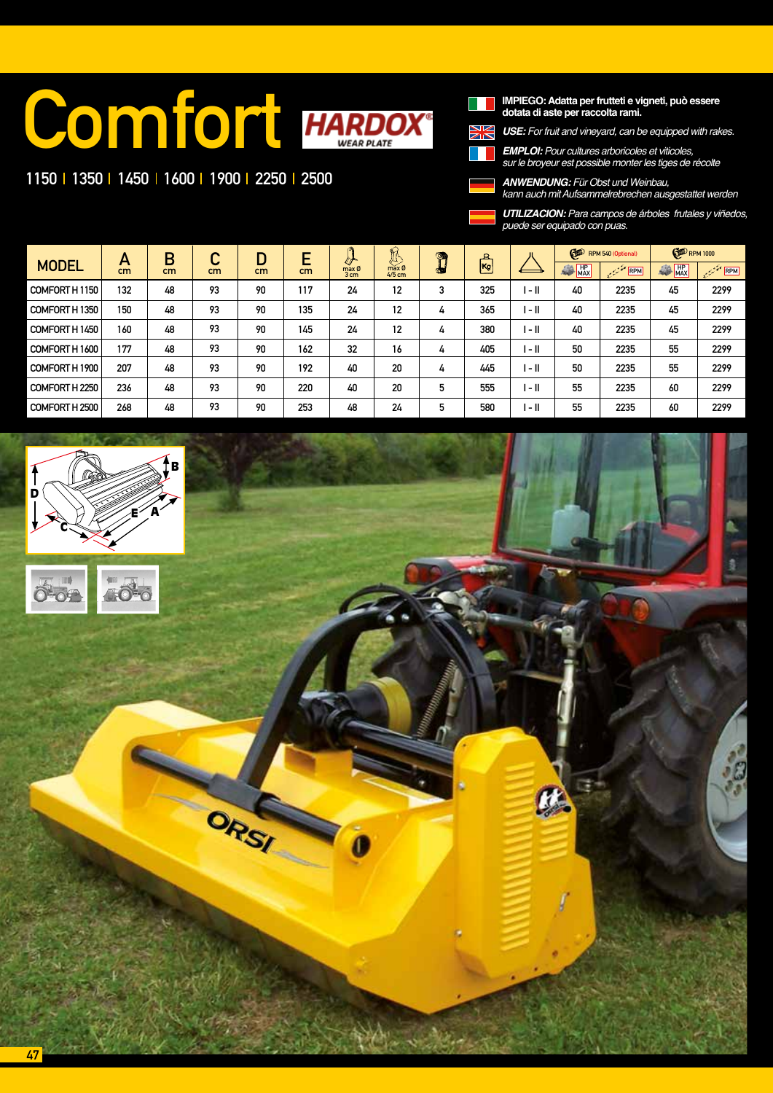# **Comfort HARDOX®**

ORSI

### 1150 | 1350 | 1450 | 1600 | 1900 | 2250 | 2500

**IMPIEGO: Adatta per frutteti e vigneti, può essere dotata di aste per raccolta rami.**

*USE:* For fruit and vineyard, can be equipped with rakes.

*EMPLOI: Pour cultures arboricoles et viticoles, sur le broyeur est possible monter les tiges de récolte*

*ANWENDUNG:* Für Obst und Weinbau, kann auch mit Aufsammelrebrechen ausgestattet werden

*UTILIZACION: Para campos de árboles frutales y viñedos, puede ser equipado con puas.* 

| <b>MODEL</b>   | Α<br>cm | В<br>cm | ⌒<br>u<br>cm | D<br>cm | c<br>cm | ര<br>$\sigma$<br>max Ø<br>3 cm | $\mathbb{R}$<br>max Ø<br>$4/5$ cm | $\circ$<br>œ. | 요<br><b>Kg</b> |        | G<br>RPM 540 (Optional) |                                                                                  | <b>ED</b> RPM 1000 |      |
|----------------|---------|---------|--------------|---------|---------|--------------------------------|-----------------------------------|---------------|----------------|--------|-------------------------|----------------------------------------------------------------------------------|--------------------|------|
|                |         |         |              |         |         |                                |                                   |               |                |        | 单<br><b>HP</b><br>MAX   | RPM<br>$\label{eq:2.1} \frac{1}{2} \int_{-\infty}^{\infty} \frac{d^2x}{dx^2} dx$ | HP<br>MAX<br>編     | RPM  |
| COMFORT H1150  | 132     | 48      | 93           | 90      | 117     | 24                             | 12                                | 3             | 325            | l - II | 40                      | 2235                                                                             | 45                 | 2299 |
| COMFORT H 1350 | 150     | 48      | 93           | 90      | 135     | 24                             | 12                                | 4             | 365            | $-1$   | 40                      | 2235                                                                             | 45                 | 2299 |
| COMFORT H1450  | 160     | 48      | 93           | 90      | 145     | 24                             | 12                                | 4             | 380            | $-1$   | 40                      | 2235                                                                             | 45                 | 2299 |
| COMFORT H 1600 | 177     | 48      | 93           | 90      | 162     | 32                             | 16                                | 4             | 405            | l - II | 50                      | 2235                                                                             | 55                 | 2299 |
| COMFORT H 1900 | 207     | 48      | 93           | 90      | 192     | 40                             | 20                                | 4             | 445            | $-1$   | 50                      | 2235                                                                             | 55                 | 2299 |
| COMFORT H 2250 | 236     | 48      | 93           | 90      | 220     | 40                             | 20                                | 5             | 555            | l - II | 55                      | 2235                                                                             | 60                 | 2299 |
| COMFORT H 2500 | 268     | 48      | 93           | 90      | 253     | 48                             | 24                                | 5             | 580            | $-1$   | 55                      | 2235                                                                             | 60                 | 2299 |